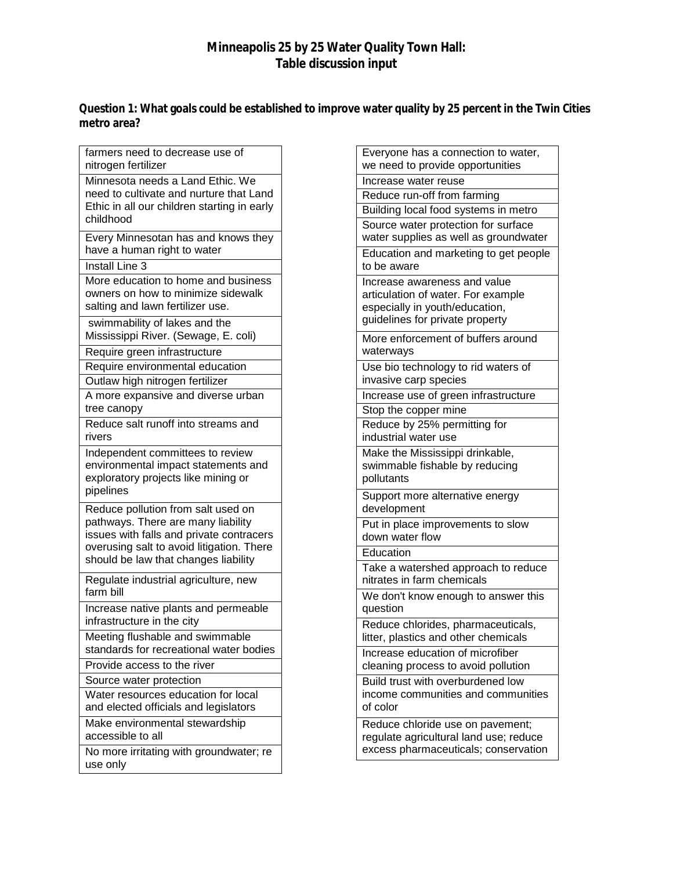## **Minneapolis 25 by 25 Water Quality Town Hall: Table discussion input**

**Question 1: What goals could be established to improve water quality by 25 percent in the Twin Cities metro area?**

| farmers need to decrease use of<br>nitrogen fertilizer                                                                                                                                                    |
|-----------------------------------------------------------------------------------------------------------------------------------------------------------------------------------------------------------|
| Minnesota needs a Land Ethic. We<br>need to cultivate and nurture that Land<br>Ethic in all our children starting in early<br>childhood                                                                   |
| Every Minnesotan has and knows they<br>have a human right to water                                                                                                                                        |
| <b>Install Line 3</b>                                                                                                                                                                                     |
| More education to home and business<br>owners on how to minimize sidewalk<br>salting and lawn fertilizer use.                                                                                             |
| swimmability of lakes and the<br>Mississippi River. (Sewage, E. coli)                                                                                                                                     |
| Require green infrastructure                                                                                                                                                                              |
| Require environmental education                                                                                                                                                                           |
| Outlaw high nitrogen fertilizer                                                                                                                                                                           |
| A more expansive and diverse urban<br>tree canopy                                                                                                                                                         |
| Reduce salt runoff into streams and<br>rivers                                                                                                                                                             |
| Independent committees to review<br>environmental impact statements and<br>exploratory projects like mining or<br>pipelines                                                                               |
| Reduce pollution from salt used on<br>pathways. There are many liability<br>issues with falls and private contracers<br>overusing salt to avoid litigation. There<br>should be law that changes liability |
| Regulate industrial agriculture, new<br>farm bill                                                                                                                                                         |
| Increase native plants and permeable<br>infrastructure in the city                                                                                                                                        |
| Meeting flushable and swimmable<br>standards for recreational water bodies                                                                                                                                |
| Provide access to the river                                                                                                                                                                               |
| Source water protection                                                                                                                                                                                   |
| Water resources education for local<br>and elected officials and legislators                                                                                                                              |
| Make environmental stewardship<br>accessible to all                                                                                                                                                       |
| No more irritating with groundwater; re<br>use only                                                                                                                                                       |

| Everyone has a connection to water,<br>we need to provide opportunities                                                                 |
|-----------------------------------------------------------------------------------------------------------------------------------------|
| Increase water reuse                                                                                                                    |
| Reduce run-off from farming                                                                                                             |
| Building local food systems in metro                                                                                                    |
| Source water protection for surface<br>water supplies as well as groundwater                                                            |
| Education and marketing to get people<br>to be aware                                                                                    |
| Increase awareness and value<br>articulation of water. For example<br>especially in youth/education,<br>guidelines for private property |
| More enforcement of buffers around<br>waterways                                                                                         |
| Use bio technology to rid waters of<br>invasive carp species                                                                            |
| Increase use of green infrastructure                                                                                                    |
| Stop the copper mine                                                                                                                    |
| Reduce by 25% permitting for<br>industrial water use                                                                                    |
| Make the Mississippi drinkable,<br>swimmable fishable by reducing<br>pollutants                                                         |
| Support more alternative energy<br>development                                                                                          |
| Put in place improvements to slow<br>down water flow                                                                                    |
| Education                                                                                                                               |
| Take a watershed approach to reduce<br>nitrates in farm chemicals                                                                       |
| We don't know enough to answer this<br>question                                                                                         |
| Reduce chlorides, pharmaceuticals,<br>litter, plastics and other chemicals                                                              |
| Increase education of microfiber<br>cleaning process to avoid pollution                                                                 |
| Build trust with overburdened low<br>income communities and communities<br>of color                                                     |
| Reduce chloride use on pavement;<br>regulate agricultural land use; reduce<br>excess pharmaceuticals; conservation                      |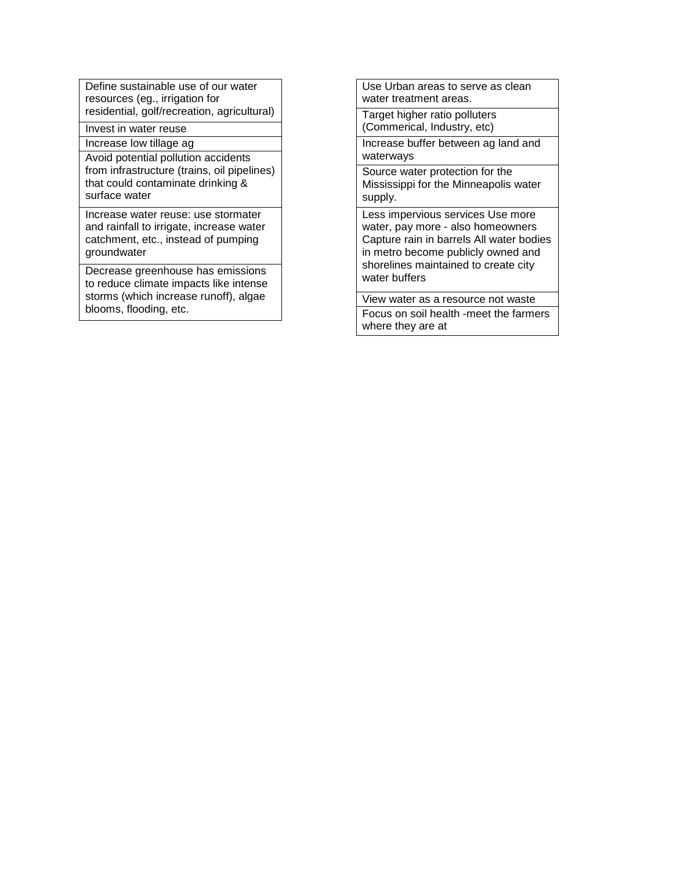Define sustainable use of our water resources (eg., irrigation for residential, golf/recreation, agricultural)

Invest in water reuse

Increase low tillage ag

Avoid potential pollution accidents from infrastructure (trains, oil pipelines) that could contaminate drinking & surface water

Increase water reuse: use stormater and rainfall to irrigate, increase water catchment, etc., instead of pumping groundwater

Decrease greenhouse has emissions to reduce climate impacts like intense storms (which increase runoff), algae blooms, flooding, etc.

Use Urban areas to serve as clean water treatment areas.

Target higher ratio polluters (Commerical, Industry, etc)

Increase buffer between ag land and waterways

Source water protection for the Mississippi for the Minneapolis water supply.

Less impervious services Use more water, pay more - also homeowners Capture rain in barrels All water bodies in metro become publicly owned and shorelines maintained to create city water buffers

View water as a resource not waste Focus on soil health -meet the farmers where they are at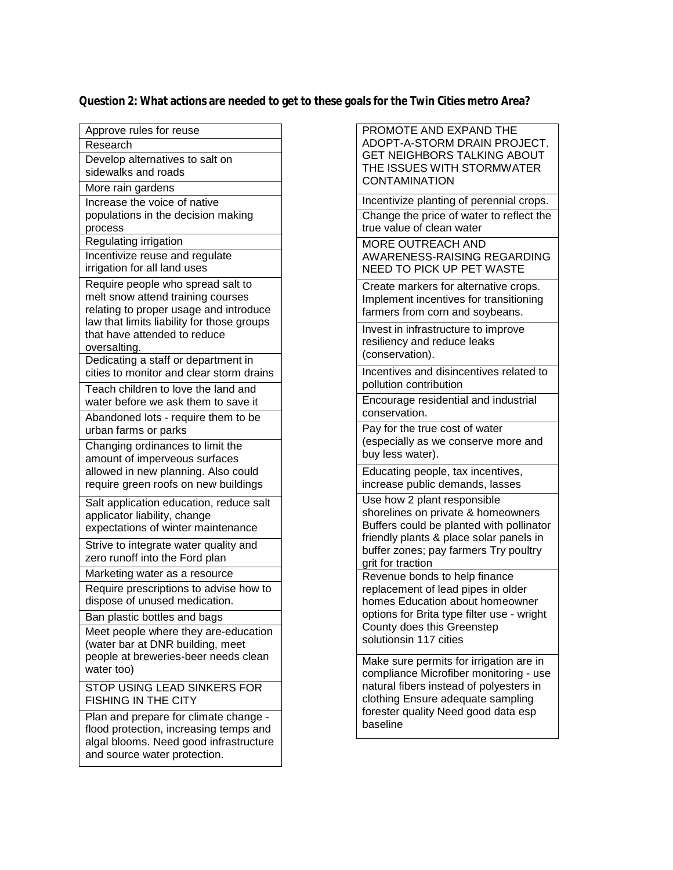## **Question 2: What actions are needed to get to these goals for the Twin Cities metro Area?**

| Approve rules for reuse                                                                                                                                                                                        |
|----------------------------------------------------------------------------------------------------------------------------------------------------------------------------------------------------------------|
| Research                                                                                                                                                                                                       |
| Develop alternatives to salt on<br>sidewalks and roads                                                                                                                                                         |
| More rain gardens                                                                                                                                                                                              |
| Increase the voice of native<br>populations in the decision making<br>process                                                                                                                                  |
| Regulating irrigation                                                                                                                                                                                          |
| Incentivize reuse and regulate<br>irrigation for all land uses                                                                                                                                                 |
| Require people who spread salt to<br>melt snow attend training courses<br>relating to proper usage and introduce<br>law that limits liability for those groups<br>that have attended to reduce<br>oversalting. |
| Dedicating a staff or department in<br>cities to monitor and clear storm drains                                                                                                                                |
| Teach children to love the land and<br>water before we ask them to save it                                                                                                                                     |
| Abandoned lots - require them to be<br>urban farms or parks                                                                                                                                                    |
| Changing ordinances to limit the<br>amount of imperveous surfaces<br>allowed in new planning. Also could<br>require green roofs on new buildings                                                               |
| Salt application education, reduce salt<br>applicator liability, change<br>expectations of winter maintenance                                                                                                  |
| Strive to integrate water quality and<br>zero runoff into the Ford plan                                                                                                                                        |
| Marketing water as a resource                                                                                                                                                                                  |
| Require prescriptions to advise how to<br>dispose of unused medication.                                                                                                                                        |
| Ban plastic bottles and bags                                                                                                                                                                                   |
| Meet people where they are-education<br>(water bar at DNR building, meet<br>people at breweries-beer needs clean<br>water too)                                                                                 |
| STOP USING LEAD SINKERS FOR<br><b>FISHING IN THE CITY</b>                                                                                                                                                      |
| Plan and prepare for climate change -<br>flood protection, increasing temps and<br>algal blooms. Need good infrastructure                                                                                      |

and source water protection.

| PROMOTE AND EXPAND THE<br>ADOPT-A-STORM DRAIN PROJECT.<br>GET NEIGHBORS TALKING ABOUT<br>THE ISSUES WITH STORMWATER<br><b>CONTAMINATION</b>                                                                            |
|------------------------------------------------------------------------------------------------------------------------------------------------------------------------------------------------------------------------|
| Incentivize planting of perennial crops.                                                                                                                                                                               |
| Change the price of water to reflect the<br>true value of clean water                                                                                                                                                  |
| MORE OUTREACH AND<br>AWARENESS-RAISING REGARDING<br>NEED TO PICK UP PET WASTE                                                                                                                                          |
| Create markers for alternative crops.<br>Implement incentives for transitioning<br>farmers from corn and soybeans.                                                                                                     |
| Invest in infrastructure to improve<br>resiliency and reduce leaks<br>(conservation).                                                                                                                                  |
| Incentives and disincentives related to<br>pollution contribution                                                                                                                                                      |
| Encourage residential and industrial<br>conservation.                                                                                                                                                                  |
| Pay for the true cost of water<br>(especially as we conserve more and<br>buy less water).                                                                                                                              |
| Educating people, tax incentives,<br>increase public demands, lasses                                                                                                                                                   |
| Use how 2 plant responsible<br>shorelines on private & homeowners<br>Buffers could be planted with pollinator<br>friendly plants & place solar panels in<br>buffer zones; pay farmers Try poultry<br>grit for traction |
| Revenue bonds to help finance<br>replacement of lead pipes in older<br>homes Education about homeowner<br>options for Brita type filter use - wright<br>County does this Greenstep<br>solutionsin 117 cities           |
| Make sure permits for irrigation are in<br>compliance Microfiber monitoring - use<br>natural fibers instead of polyesters in<br>clothing Ensure adequate sampling<br>forester quality Need good data esp               |

baseline